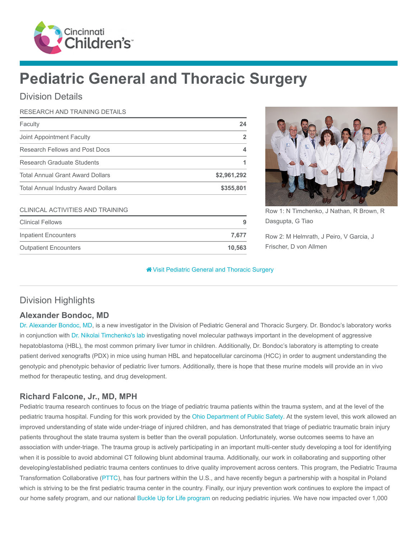

# Pediatric General and Thoracic Surgery

## Division Details

#### RESEARCH AND TRAINING DETAILS

| Faculty                                    | 24             |
|--------------------------------------------|----------------|
| Joint Appointment Faculty                  | $\overline{2}$ |
| Research Fellows and Post Docs             | 4              |
| Research Graduate Students                 |                |
| <b>Total Annual Grant Award Dollars</b>    | \$2,961,292    |
| <b>Total Annual Industry Award Dollars</b> | \$355,801      |
| <b>CLINICAL ACTIVITIES AND TRAINING</b>    |                |
| <b>Clinical Fellows</b>                    | 9              |
| <b>Inpatient Encounters</b>                | 7,677          |
| <b>Outpatient Encounters</b>               | 10,563         |
|                                            |                |



Row 1: N Timchenko, J Nathan, R Brown, R Dasgupta, G Tiao

Row 2: M Helmrath, J Peiro, V Garcia, J Frischer, D von Allmen

**<sup>2</sup>** [Visit Pediatric General and Thoracic Surgery](https://www.cincinnatichildrens.org/research/divisions/g/thoracic-surgery)

# Division Highlights

## Alexander Bondoc, MD

[Dr. Alexander Bondoc, MD,](https://www.cincinnatichildrens.org/bio/b/alexander-bondoc) is a new investigator in the Division of Pediatric General and Thoracic Surgery. Dr. Bondoc's laboratory works in conjunction with [Dr. Nikolai Timchenko's](https://www.cincinnatichildrens.org/bio/t/nikolai-timchenko) [lab](https://www.cincinnatichildrens.org/research/divisions/g/thoracic-surgery/labs/timchenko) investigating novel molecular pathways important in the development of aggressive hepatoblastoma (HBL), the most common primary liver tumor in children. Additionally, Dr. Bondoc's laboratory is attempting to create patient derived xenografts (PDX) in mice using human HBL and hepatocellular carcinoma (HCC) in order to augment understanding the genotypic and phenotypic behavior of pediatric liver tumors. Additionally, there is hope that these murine models will provide an in vivo method for therapeutic testing, and drug development.

## Richard Falcone, Jr., MD, MPH

Pediatric trauma research continues to focus on the triage of pediatric trauma patients within the trauma system, and at the level of the pediatric trauma hospital. Funding for this work provided by the [Ohio Department of Public Safety.](http://www.publicsafety.ohio.gov/) At the system level, this work allowed an improved understanding of state wide under-triage of injured children, and has demonstrated that triage of pediatric traumatic brain injury patients throughout the state trauma system is better than the overall population. Unfortunately, worse outcomes seems to have an association with under-triage. The trauma group is actively participating in an important multi-center study developing a tool for identifying when it is possible to avoid abdominal CT following blunt abdominal trauma. Additionally, our work in collaborating and supporting other developing/established pediatric trauma centers continues to drive quality improvement across centers. This program, the Pediatric Trauma Transformation Collaborative ([PTTC](https://www.cincinnatichildrens.org/service/t/trauma/pttc)), has four partners within the U.S., and have recently begun a partnership with a hospital in Poland which is striving to be the first pediatric trauma center in the country. Finally, our injury prevention work continues to explore the impact of our home safety program, and our national [Buckle Up for Life program](https://www.cincinnatichildrens.org/service/c/ccic/buckle-up-for-life) on reducing pediatric injuries. We have now impacted over 1,000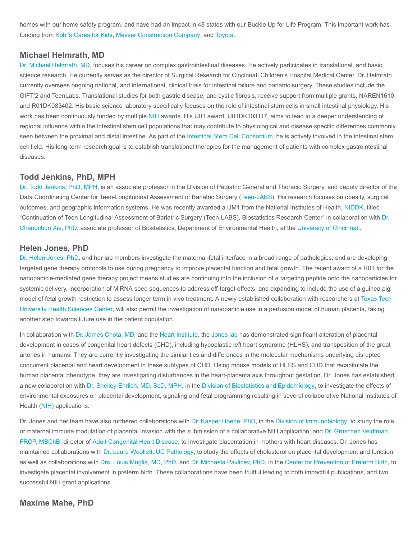homes with our home safety program, and have had an impact in 48 states with our Buckle Up for Life Program. This important work has funding from [Kohl's Cares for Kids,](https://www.kohls.com/sale-event/kohl-s-cares.jsp) [Messer Construction Company,](https://messer.com/) and [Toyota.](https://www.toyota.com/usa/community/index.html)

#### Michael Helmrath, MD

[Dr. Michael Helmrath, MD](https://www.cincinnatichildrens.org/bio/h/michael-helmrath), focuses his career on complex gastrointestinal diseases. He actively participates in translational, and basic science research. He currently serves as the director of Surgical Research for Cincinnati Children's Hospital Medical Center. Dr. Helmrath currently oversees ongoing national, and international, clinical trials for intestinal failure and bariatric surgery. These studies include the GIFT'2 and TeenLabs. Translational studies for both gastric disease, and cystic fibrosis, receive support from multiple grants, NAREN1610 and R01DK083402. His basic science laboratory specifically focuses on the role of intestinal stem cells in small intestinal physiology. His work has been continuously funded by multiple [NIH](https://www.nih.gov/) awards. His U01 award, U01DK103117, aims to lead to a deeper understanding of regional influence within the intestinal stem cell populations that may contribute to physiological and disease specific differences commonly seen between the proximal and distal intestine. As part of the [Intestinal Stem Cell Consortium,](https://iscconsortium.org/) he is actively involved in the intestinal stem cell field. His long-term research goal is to establish translational therapies for the management of patients with complex gastrointestinal diseases.

#### Todd Jenkins, PhD, MPH

[Dr. Todd Jenkins, PhD, MPH](https://www.cincinnatichildrens.org/bio/j/todd-jenkins), is an associate professor in the Division of Pediatric General and Thoracic Surgery, and deputy director of the Data Coordinating Center for Teen-Longitudinal Assessment of Bariatric Surgery [\(Teen-LABS\)](https://www.cincinnatichildrens.org/research/divisions/t/teen-labs). His research focuses on obesity, surgical outcomes, and geographic information systems. He was recently awarded a UM1 from the National Institutes of Health, [NIDDK,](https://www.niddk.nih.gov/) titled ["Continuation of Teen Longitudinal Assessment of Bariatric Surgery \(Teen-LABS\), Biostatistics Research Center" in collaboration with Dr.](http://med.uc.edu/eh/directory/faculty/index/pubs/xiecn/) Changchun Xie, PhD, associate professor of Biostatistics, Department of Environmental Health, at the [University of Cincinnati](http://med.uc.edu/).

#### Helen Jones, PhD

[Dr. Helen Jones, PhD](https://www.cincinnatichildrens.org/bio/j/helen-jones), and her lab members investigate the maternal-fetal interface in a broad range of pathologies, and are developing targeted gene therapy protocols to use during pregnancy to improve placental function and fetal growth. The recent award of a R01 for the nanoparticle-mediated gene therapy project means studies are continuing into the inclusion of a targeting peptide onto the nanoparticles for systemic delivery, incorporation of MiRNA seed sequences to address off-target effects, and expanding to include the use of a guinea pig [model of fetal growth restriction to assess longer term in vivo treatment. A newly established collaboration with researchers at Texas Tech](http://www.ttuhsc.edu/) University Health Sciences Center, will also permit the investigation of nanoparticle use in a perfusion model of human placenta, taking another step towards future use in the patient population.

In collaboration with [Dr. James Cnota, MD](https://www.cincinnatichildrens.org/bio/c/james-cnota), and the [Heart Institute,](https://www.cincinnatichildrens.org/research/divisions/h/heart) the [Jones lab h](https://www.cincinnatichildrens.org/research/divisions/c/cfcmt/labs/jones)as demonstrated significant alteration of placental development in cases of congenital heart defects (CHD), including hypoplastic left heart syndrome (HLHS), and transposition of the great arteries in humans. They are currently investigating the similarities and differences in the molecular mechanisms underlying disrupted concurrent placental and heart development in these subtypes of CHD. Using mouse models of HLHS and CHD that recapitulate the human placental phenotype, they are investigating disturbances in the heart-placenta axis throughout gestation. Dr. Jones has established a new collaboration with [Dr. Shelley Ehrlich, MD, ScD, MPH](https://www.cincinnatichildrens.org/bio/e/shelley-ehrlich), in the [Division of Biostatistics and Epidemiology](https://www.cincinnatichildrens.org/research/divisions/b/biostatistics), to investigate the effects of environmental exposures on placental development, signaling and fetal programming resulting in several collaborative National Institutes of Health [\(NIH](https://www.nih.gov/)) applications.

Dr. Jones and her team have also furthered collaborations with [Dr. Kasper Hoebe, PhD,](https://www.cincinnatichildrens.org/bio/h/kasper-hoebe) in the [Division of Immunobiology,](https://www.cincinnatichildrens.org/research/divisions/i/immunobiology) to study the role [of maternal immune modulation of placental invasion with the submission of a collaborative NIH application; and Dr. Gruschen Veldtman,](https://www.cincinnatichildrens.org/bio/v/gruschen-veldtman) FRCP, MBChB, director of [Adult Congenital Heart Disease,](https://www.cincinnatichildrens.org/service/a/congenital-heart) to investigate placentation in mothers with heart diseases. Dr. Jones has maintained collaborations with [Dr. Laura Woollett,](https://med.uc.edu/pathobiology/faculty/Index/Pubs/woollela/) [UC Pathology,](https://med.uc.edu/pathology) to study the effects of cholesterol on placental development and function, as well as collaborations with [Drs. Louis Muglia, MD, PhD](https://www.cincinnatichildrens.org/bio/m/louis-muglia), and [Dr. Michaela Pavlicev, PhD,](https://www.cincinnatichildrens.org/bio/p/mihaela-pavlicev) in the [Center for Prevention of Preterm Birth,](https://www.cincinnatichildrens.org/research/divisions/c/preterm-birth) to investigate placental involvement in preterm birth. These collaborations have been fruitful leading to both impactful publications, and two successful NIH grant applications.

#### Maxime Mahe, PhD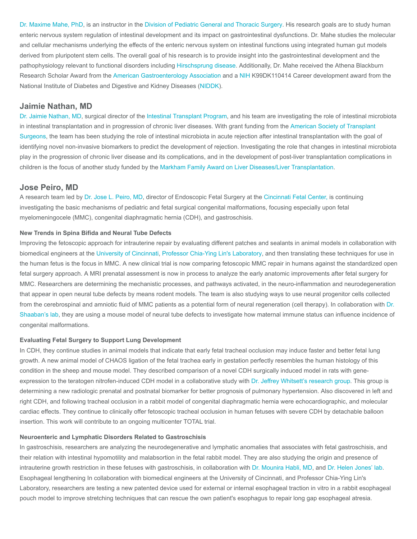[Dr. Maxime Mahe, PhD](https://www.cincinnatichildrens.org/bio/m/maxime-mahe), is an instructor in the [Division of Pediatric General and Thoracic Surgery](https://www.cincinnatichildrens.org/service/s/surgery). His research goals are to study human enteric nervous system regulation of intestinal development and its impact on gastrointestinal dysfunctions. Dr. Mahe studies the molecular and cellular mechanisms underlying the effects of the enteric nervous system on intestinal functions using integrated human gut models derived from pluripotent stem cells. The overall goal of his research is to provide insight into the gastrointestinal development and the pathophysiology relevant to functional disorders including [Hirschsprung disease](https://www.cincinnatichildrens.org/health/t/total-colonic-hirschsprung-disease). Additionally, Dr. Mahe received the Athena Blackburn Research Scholar Award from the [American Gastroenterology Association](http://www.gastro.org/) and a [NIH](https://www.nih.gov/) K99DK110414 Career development award from the National Institute of Diabetes and Digestive and Kidney Diseases ([NIDDK\)](https://www.niddk.nih.gov/).

#### Jaimie Nathan, MD

[Dr. Jaimie Nathan, MD,](https://www.cincinnatichildrens.org/bio/n/jaimie-nathan) surgical director of the [Intestinal Transplant Program,](https://www.cincinnatichildrens.org/service/c/intestinal-care/transplant) and his team are investigating the role of intestinal microbiota in intestinal transplantation and in progression of chronic liver diseases. With grant funding from the American Society of Transplant [Surgeons, the team has been studying the role of intestinal microbiota in acute rejection after intestinal transplantation with the goal](http://asts.org/) of identifying novel non-invasive biomarkers to predict the development of rejection. Investigating the role that changes in intestinal microbiota play in the progression of chronic liver disease and its complications, and in the development of post-liver transplantation complications in children is the focus of another study funded by the [Markham Family Award on Liver Diseases/Liver Transplantation.](https://www.cincinnatichildrens.org/service/l/liver-care/research/markham-award)

#### Jose Peiro, MD

A research team led by [Dr. Jose L. Peiro, MD,](https://www.cincinnatichildrens.org/bio/p/jose-peiro) director of Endoscopic Fetal Surgery at the [Cincinnati Fetal Center, i](https://www.cincinnatichildrens.org/service/f/fetal-care)s continuing investigating the basic mechanisms of pediatric and fetal surgical congenital malformations, focusing especially upon fetal myelomeningocele (MMC), congenital diaphragmatic hernia (CDH), and gastroschisis.

#### New Trends in Spina Bifida and Neural Tube Defects

Improving the fetoscopic approach for intrauterine repair by evaluating different patches and sealants in animal models in collaboration with biomedical engineers at the [University of Cincinnati](http://www.uc.edu/), [Professor Chia-Ying Lin's Laboratory](http://ceas.uc.edu/faculty_staff/profiles/chia-ying-lin.html), and then translating these techniques for use in the human fetus is the focus in MMC. A new clinical trial is now comparing fetoscopic MMC repair in humans against the standardized open fetal surgery approach. A MRI prenatal assessment is now in process to analyze the early anatomic improvements after fetal surgery for MMC. Researchers are determining the mechanistic processes, and pathways activated, in the neuro-inflammation and neurodegeneration that appear in open neural tube defects by means rodent models. The team is also studying ways to use neural progenitor cells collected from the cerebrospinal and amniotic fluid of MMC patients as a potential form of neural regeneration (cell therapy). In collaboration with Dr. [Shaaban's lab, they are using a mouse model of neural tube defects to investigate how maternal immune status can influence incidence of](https://www.cincinnatichildrens.org/research/divisions/c/cfcmt/labs/shaaban) congenital malformations.

#### Evaluating Fetal Surgery to Support Lung Development

In CDH, they continue studies in animal models that indicate that early fetal tracheal occlusion may induce faster and better fetal lung growth. A new animal model of CHAOS ligation of the fetal trachea early in gestation perfectly resembles the human histology of this condition in the sheep and mouse model. They described comparison of a novel CDH surgically induced model in rats with geneexpression to the teratogen nitrofen-induced CDH model in a collaborative study with [Dr. Jeffrey Whitsett's research group](https://www.cincinnatichildrens.org/research/divisions/p/pulmonary-bio/labs/whitsett). This group is determining a new radiologic prenatal and postnatal biomarker for better prognosis of pulmonary hypertension. Also discovered in left and right CDH, and following tracheal occlusion in a rabbit model of congenital diaphragmatic hernia were echocardiographic, and molecular cardiac effects. They continue to clinically offer fetoscopic tracheal occlusion in human fetuses with severe CDH by detachable balloon insertion. This work will contribute to an ongoing multicenter TOTAL trial.

#### Neuroenteric and Lymphatic Disorders Related to Gastroschisis

In gastroschisis, researchers are analyzing the neurodegenerative and lymphatic anomalies that associates with fetal gastroschisis, and their relation with intestinal hypomotility and malabsortion in the fetal rabbit model. They are also studying the origin and presence of intrauterine growth restriction in these fetuses with gastroschisis, in collaboration with [Dr. Mounira Habli, MD,](https://www.cincinnatichildrens.org/bio/h/mounira-habli) and [Dr. Helen Jones' lab.](https://www.cincinnatichildrens.org/research/divisions/c/cfcmt/labs/jones) Esophageal lengthening In collaboration with biomedical engineers at the University of Cincinnati, and Professor Chia-Ying Lin's Laboratory, researchers are testing a new patented device used for external or internal esophageal traction in vitro in a rabbit esophageal pouch model to improve stretching techniques that can rescue the own patient's esophagus to repair long gap esophageal atresia.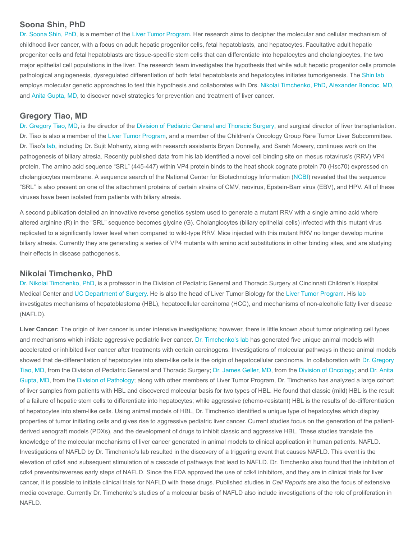#### Soona Shin, PhD

[Dr. Soona Shin, PhD](https://www.cincinnatichildrens.org/bio/s/soona-shin), is a member of the [Liver Tumor Program.](https://www.cincinnatichildrens.org/service/l/liver-tumor) Her research aims to decipher the molecular and cellular mechanism of childhood liver cancer, with a focus on adult hepatic progenitor cells, fetal hepatoblasts, and hepatocytes. Facultative adult hepatic progenitor cells and fetal hepatoblasts are tissue-specific stem cells that can differentiate into hepatocytes and cholangiocytes, the two major epithelial cell populations in the liver. The research team investigates the hypothesis that while adult hepatic progenitor cells promote pathological angiogenesis, dysregulated differentiation of both fetal hepatoblasts and hepatocytes initiates tumorigenesis. The [Shin lab](https://www.cincinnatichildrens.org/research/divisions/g/thoracic-surgery/labs/shin) employs molecular genetic approaches to test this hypothesis and collaborates with Drs. [Nikolai Timchenko, PhD](https://www.cincinnatichildrens.org/bio/t/nikolai-timchenko), [Alexander Bondoc, MD,](https://www.cincinnatichildrens.org/bio/b/alexander-bondoc) and [Anita Gupta, MD](https://www.cincinnatichildrens.org/bio/g/anita-gupta), to discover novel strategies for prevention and treatment of liver cancer.

#### Gregory Tiao, MD

[Dr. Gregory Tiao, MD](https://www.cincinnatichildrens.org/bio/t/greg-tiao), is the director of the [Division of Pediatric General and Thoracic Surgery](https://www.cincinnatichildrens.org/research/divisions/g/thoracic-surgery), and surgical director of liver transplantation. Dr. Tiao is also a member of the [Liver Tumor Program,](https://www.cincinnatichildrens.org/service/l/liver-tumor) and a member of the Children's Oncology Group Rare Tumor Liver Subcommittee. Dr. Tiao's [lab](https://www.cincinnatichildrens.org/research/divisions/g/thoracic-surgery/labs/tiao), including Dr. Sujit Mohanty, along with research assistants Bryan Donnelly, and Sarah Mowery, continues work on the pathogenesis of biliary atresia. Recently published data from his lab identified a novel cell binding site on rhesus rotavirus's (RRV) VP4 protein. The amino acid sequence "SRL" (445-447) within VP4 protein binds to the heat shock cognate protein 70 (Hsc70) expressed on cholangiocytes membrane. A sequence search of the National Center for Biotechnology Information ([NCBI\)](https://www.ncbi.nlm.nih.gov/) revealed that the sequence "SRL" is also present on one of the attachment proteins of certain strains of CMV, reovirus, Epstein-Barr virus (EBV), and HPV. All of these viruses have been isolated from patients with biliary atresia.

A second publication detailed an innovative reverse genetics system used to generate a mutant RRV with a single amino acid where altered arginine (R) in the "SRL" sequence becomes glycine (G). Cholangiocytes (biliary epithelial cells) infected with this mutant virus replicated to a significantly lower level when compared to wild-type RRV. Mice injected with this mutant RRV no longer develop murine biliary atresia. Currently they are generating a series of VP4 mutants with amino acid substitutions in other binding sites, and are studying their effects in disease pathogenesis.

#### Nikolai Timchenko, PhD

[Dr. Nikolai Timchenko, PhD](https://www.cincinnatichildrens.org/bio/t/nikolai-timchenko), is a professor in the Division of Pediatric General and Thoracic Surgery at Cincinnati Children's Hospital Medical Center and [UC Department of Surgery.](http://med.uc.edu/surgery) He is also the head of Liver Tumor Biology for the [Liver Tumor Program](https://www.cincinnatichildrens.org/service/l/liver-tumor). His [lab](https://www.cincinnatichildrens.org/research/divisions/g/thoracic-surgery/labs/timchenko) investigates mechanisms of hepatoblastoma (HBL), hepatocellular carcinoma (HCC), and mechanisms of non-alcoholic fatty liver disease (NAFLD).

Liver Cancer: The origin of liver cancer is under intensive investigations; however, there is little known about tumor originating cell types and mechanisms which initiate aggressive pediatric liver cancer. [Dr. Timchenko's lab](https://www.cincinnatichildrens.org/research/divisions/g/thoracic-surgery/labs/timchenko) has generated five unique animal models with accelerated or inhibited liver cancer after treatments with certain carcinogens. Investigations of molecular pathways in these animal models [showed that de-differentiation of hepatocytes into stem-like cells is the origin of hepatocellular carcinoma. In collaboration with Dr. Gregory](https://www.cincinnatichildrens.org/bio/t/greg-tiao) Tiao, MD, from the Division of Pediatric General and Thoracic Surgery; [Dr. James Geller, MD](https://www.cincinnatichildrens.org/bio/g/james-geller), from the [Division of Oncology;](https://www.cincinnatichildrens.org/research/divisions/o/oncology) and Dr. Anita [Gupta, MD, from the Division of Pathology; along with other members of Liver Tumor Program, Dr. Timchenko has analyzed a large cohort](https://www.cincinnatichildrens.org/bio/g/anita-gupta) of liver samples from patients with HBL and discovered molecular basis for two types of HBL. He found that classic (mild) HBL is the result of a failure of hepatic stem cells to differentiate into hepatocytes; while aggressive (chemo-resistant) HBL is the results of de-differentiation of hepatocytes into stem-like cells. Using animal models of HBL, Dr. Timchenko identified a unique type of hepatocytes which display properties of tumor initiating cells and gives rise to aggressive pediatric liver cancer. Current studies focus on the generation of the patientderived xenograft models (PDXs), and the development of drugs to inhibit classic and aggressive HBL. These studies translate the knowledge of the molecular mechanisms of liver cancer generated in animal models to clinical application in human patients. NAFLD. Investigations of NAFLD by Dr. Timchenko's lab resulted in the discovery of a triggering event that causes NAFLD. This event is the elevation of cdk4 and subsequent stimulation of a cascade of pathways that lead to NAFLD. Dr. Timchenko also found that the inhibition of cdk4 prevents/reverses early steps of NAFLD. Since the FDA approved the use of cdk4 inhibitors, and they are in clinical trials for liver cancer, it is possible to initiate clinical trials for NAFLD with these drugs. Published studies in Cell Reports are also the focus of extensive media coverage. Currently Dr. Timchenko's studies of a molecular basis of NAFLD also include investigations of the role of proliferation in NAFLD.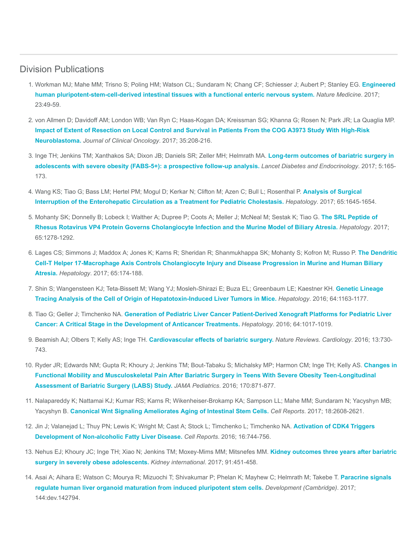## Division Publications

- 1. [Workman MJ; Mahe MM; Trisno S; Poling HM; Watson CL; Sundaram N; Chang CF; Schiesser J; Aubert P; Stanley EG.](https://www.ncbi.nlm.nih.gov/pubmed/27869805) Engineered human pluripotent-stem-cell-derived intestinal tissues with a functional enteric nervous system. Nature Medicine. 2017; 23:49-59.
- 2. von Allmen D; Davidoff AM; London WB; Van Ryn C; Haas-Kogan DA; Kreissman SG; Khanna G; Rosen N; Park JR; La Quaglia MP. [Impact of Extent of Resection on Local Control and Survival in Patients From the COG A3973 Study With High-Risk](https://www.ncbi.nlm.nih.gov/pubmed/27870572) Neuroblastoma. Journal of Clinical Oncology. 2017; 35:208-216.
- 3. [Inge TH; Jenkins TM; Xanthakos SA; Dixon JB; Daniels SR; Zeller MH; Helmrath MA.](https://www.ncbi.nlm.nih.gov/pubmed/28065736) Long-term outcomes of bariatric surgery in adolescents with severe obesity (FABS-5+): a prospective follow-up analysis. Lancet Diabetes and Endocrinology. 2017; 5:165- 173.
- 4. [Wang KS; Tiao G; Bass LM; Hertel PM; Mogul D; Kerkar N; Clifton M; Azen C; Bull L; Rosenthal P.](https://www.ncbi.nlm.nih.gov/pubmed/28027587) Analysis of Surgical Interruption of the Enterohepatic Circulation as a Treatment for Pediatric Cholestasis. Hepatology. 2017; 65:1645-1654.
- 5. [Mohanty SK; Donnelly B; Lobeck I; Walther A; Dupree P; Coots A; Meller J; McNeal M; Sestak K; Tiao G.](https://www.ncbi.nlm.nih.gov/pubmed/27859498) The SRL Peptide of Rhesus Rotavirus VP4 Protein Governs Cholangiocyte Infection and the Murine Model of Biliary Atresia. Hepatology. 2017; 65:1278-1292.
- 6. [Lages CS; Simmons J; Maddox A; Jones K; Karns R; Sheridan R; Shanmukhappa SK; Mohanty S; Kofron M; Russo P.](https://www.ncbi.nlm.nih.gov/pubmed/27641439) The Dendritic Cell-T Helper 17-Macrophage Axis Controls Cholangiocyte Injury and Disease Progression in Murine and Human Biliary Atresia. Hepatology. 2017; 65:174-188.
- 7. [Shin S; Wangensteen KJ; Teta-Bissett M; Wang YJ; Mosleh-Shirazi E; Buza EL; Greenbaum LE; Kaestner KH.](https://www.ncbi.nlm.nih.gov/pubmed/27099001) Genetic Lineage Tracing Analysis of the Cell of Origin of Hepatotoxin-Induced Liver Tumors in Mice. Hepatology. 2016; 64:1163-1177.
- 8. Tiao G; Geller J; Timchenko NA. [Generation of Pediatric Liver Cancer Patient-Derived Xenograft Platforms for Pediatric Liver](https://www.ncbi.nlm.nih.gov/pubmed/27359258) Cancer: A Critical Stage in the Development of Anticancer Treatments. Hepatology. 2016; 64:1017-1019.
- 9. Beamish AJ; Olbers T; Kelly AS; Inge TH. [Cardiovascular effects of bariatric surgery.](https://www.ncbi.nlm.nih.gov/pubmed/27762312) Nature Reviews. Cardiology. 2016; 13:730-743.
- 10. [Ryder JR; Edwards NM; Gupta R; Khoury J; Jenkins TM; Bout-Tabaku S; Michalsky MP; Harmon CM; Inge TH; Kelly AS.](https://www.ncbi.nlm.nih.gov/pubmed/27429076) Changes in Functional Mobility and Musculoskeletal Pain After Bariatric Surgery in Teens With Severe Obesity Teen-Longitudinal Assessment of Bariatric Surgery (LABS) Study. JAMA Pediatrics. 2016; 170:871-877.
- 11. Nalapareddy K; Nattamai KJ; Kumar RS; Karns R; Wikenheiser-Brokamp KA; Sampson LL; Mahe MM; Sundaram N; Yacyshyn MB; Yacyshyn B. [Canonical Wnt Signaling Ameliorates Aging of Intestinal Stem Cells.](https://www.ncbi.nlm.nih.gov/pubmed/28297666) Cell Reports. 2017; 18:2608-2621.
- 12. [Jin J; Valanejad L; Thuy PN; Lewis K; Wright M; Cast A; Stock L; Timchenko L; Timchenko NA.](https://www.ncbi.nlm.nih.gov/pubmed/27373160) Activation of CDK4 Triggers Development of Non-alcoholic Fatty Liver Disease. Cell Reports. 2016; 16:744-756.
- 13. [Nehus EJ; Khoury JC; Inge TH; Xiao N; Jenkins TM; Moxey-Mims MM; Mitsnefes MM.](https://www.ncbi.nlm.nih.gov/pubmed/27914704) Kidney outcomes three years after bariatric surgery in severely obese adolescents. Kidney international. 2017; 91:451-458.
- 14. [Asai A; Aihara E; Watson C; Mourya R; Mizuochi T; Shivakumar P; Phelan K; Mayhew C; Helmrath M; Takebe T.](https://www.ncbi.nlm.nih.gov/pubmed/28275009) Paracrine signals regulate human liver organoid maturation from induced pluripotent stem cells. Development (Cambridge). 2017; 144:dev.142794.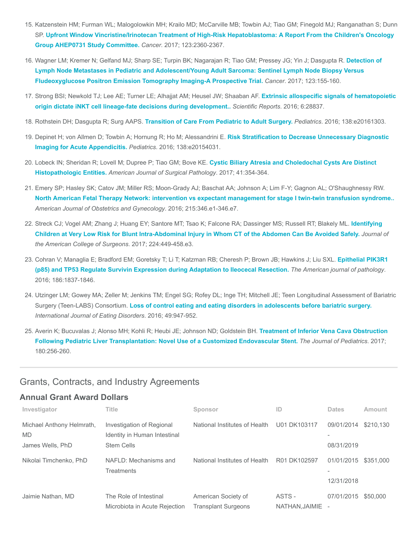- 15. Katzenstein HM; Furman WL; Malogolowkin MH; Krailo MD; McCarville MB; Towbin AJ; Tiao GM; Finegold MJ; Ranganathan S; Dunn SP. [Upfront Window Vincristine/Irinotecan Treatment of High-Risk Hepatoblastoma: A Report From the Children's Oncology](https://www.ncbi.nlm.nih.gov/pubmed/28211941) Group AHEP0731 Study Committee. Cancer. 2017; 123:2360-2367.
- 16. [Wagner LM; Kremer N; Gelfand MJ; Sharp SE; Turpin BK; Nagarajan R; Tiao GM; Pressey JG; Yin J; Dasgupta R.](https://www.ncbi.nlm.nih.gov/pubmed/27563842) Detection of Lymph Node Metastases in Pediatric and Adolescent/Young Adult Sarcoma: Sentinel Lymph Node Biopsy Versus Fludeoxyglucose Positron Emission Tomography Imaging-A Prospective Trial. Cancer. 2017; 123:155-160.
- 17. [Strong BSI; Newkold TJ; Lee AE; Turner LE; Alhajjat AM; Heusel JW; Shaaban AF.](https://www.ncbi.nlm.nih.gov/pubmed/27354027) Extrinsic allospecific signals of hematopoietic origin dictate iNKT cell lineage-fate decisions during development.. Scientific Reports. 2016; 6:28837.
- 18. Rothstein DH; Dasgupta R; Surg AAPS. [Transition of Care From Pediatric to Adult Surgery.](https://www.ncbi.nlm.nih.gov/pubmed/27494943) Pediatrics. 2016; 138:e20161303.
- 19. [Depinet H; von Allmen D; Towbin A; Hornung R; Ho M; Alessandrini E.](https://www.ncbi.nlm.nih.gov/pubmed/27553220) Risk Stratification to Decrease Unnecessary Diagnostic Imaging for Acute Appendicitis. Pediatrics. 2016; 138:e20154031.
- 20. [Lobeck IN; Sheridan R; Lovell M; Dupree P; Tiao GM; Bove KE.](https://www.ncbi.nlm.nih.gov/pubmed/28079575) Cystic Biliary Atresia and Choledochal Cysts Are Distinct Histopathologic Entities. American Journal of Surgical Pathology. 2017; 41:354-364.
- 21. Emery SP; Hasley SK; Catov JM; Miller RS; Moon-Grady AJ; Baschat AA; Johnson A; Lim F-Y; Gagnon AL; O'Shaughnessy RW. [North American Fetal Therapy Network: intervention vs expectant management for stage I twin-twin transfusion syndrome..](https://www.ncbi.nlm.nih.gov/pubmed/27131587) American Journal of Obstetrics and Gynecology. 2016; 215:346.e1-346.e7.
- 22. [Streck CJ; Vogel AM; Zhang J; Huang EY; Santore MT; Tsao K; Falcone RA; Dassinger MS; Russell RT; Blakely ML.](https://www.ncbi.nlm.nih.gov/pubmed/28130170) Identifying Children at Very Low Risk for Blunt Intra-Abdominal Injury in Whom CT of the Abdomen Can Be Avoided Safely. Journal of the American College of Surgeons. 2017; 224:449-458.e3.
- 23. [Cohran V; Managlia E; Bradford EM; Goretsky T; Li T; Katzman RB; Cheresh P; Brown JB; Hawkins J; Liu SXL.](https://www.ncbi.nlm.nih.gov/pubmed/27157990) Epithelial PIK3R1 (p85) and TP53 Regulate Survivin Expression during Adaptation to Ileocecal Resection. The American journal of pathology. 2016; 186:1837-1846.
- 24. Utzinger LM; Gowey MA; Zeller M; Jenkins TM; Engel SG; Rofey DL; Inge TH; Mitchell JE; Teen Longitudinal Assessment of Bariatric Surgery (Teen-LABS) Consortium. [Loss of control eating and eating disorders in adolescents before bariatric surgery.](https://www.ncbi.nlm.nih.gov/pubmed/27196378) International Journal of Eating Disorders. 2016; 49:947-952.
- 25. [Averin K; Bucuvalas J; Alonso MH; Kohli R; Heubi JE; Johnson ND; Goldstein BH.](https://www.ncbi.nlm.nih.gov/pubmed/27793336) Treatment of Inferior Vena Cava Obstruction Following Pediatric Liver Transplantation: Novel Use of a Customized Endovascular Stent. The Journal of Pediatrics. 2017; 180:256-260.

## Grants, Contracts, and Industry Agreements

### Annual Grant Award Dollars

| Investigator                                               | <b>Title</b>                                                                   | Sponsor                                           | ID                      | <b>Dates</b>                           | Amount    |
|------------------------------------------------------------|--------------------------------------------------------------------------------|---------------------------------------------------|-------------------------|----------------------------------------|-----------|
| Michael Anthony Helmrath,<br><b>MD</b><br>James Wells, PhD | Investigation of Regional<br>Identity in Human Intestinal<br><b>Stem Cells</b> | National Institutes of Health                     | U01 DK103117            | 09/01/2014<br>08/31/2019               | \$210.130 |
| Nikolai Timchenko, PhD                                     | NAFLD: Mechanisms and<br>Treatments                                            | National Institutes of Health                     | R01 DK102597            | 01/01/2015<br>12/31/2018               | \$351,000 |
| Jaimie Nathan, MD                                          | The Role of Intestinal<br>Microbiota in Acute Rejection                        | American Society of<br><b>Transplant Surgeons</b> | ASTS -<br>NATHAN.JAIMIE | 07/01/2015<br>$\overline{\phantom{a}}$ | \$50,000  |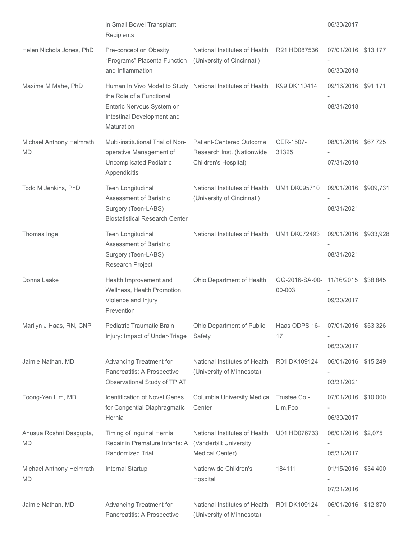|                                        | in Small Bowel Transplant<br>Recipients                                                                                                                         |                                                                                       |                                              | 06/30/2017                         |  |
|----------------------------------------|-----------------------------------------------------------------------------------------------------------------------------------------------------------------|---------------------------------------------------------------------------------------|----------------------------------------------|------------------------------------|--|
| Helen Nichola Jones, PhD               | Pre-conception Obesity<br>"Programs" Placenta Function<br>and Inflammation                                                                                      | National Institutes of Health<br>(University of Cincinnati)                           | R <sub>21</sub> H <sub>D</sub> 087536        | 07/01/2016 \$13,177                |  |
|                                        |                                                                                                                                                                 |                                                                                       |                                              | 06/30/2018                         |  |
| Maxime M Mahe, PhD                     | Human In Vivo Model to Study National Institutes of Health<br>the Role of a Functional<br>Enteric Nervous System on<br>Intestinal Development and<br>Maturation |                                                                                       | K99 DK110414                                 | 09/16/2016 \$91,171<br>08/31/2018  |  |
| Michael Anthony Helmrath,<br><b>MD</b> | Multi-institutional Trial of Non-<br>operative Management of<br><b>Uncomplicated Pediatric</b><br>Appendicitis                                                  | <b>Patient-Centered Outcome</b><br>Research Inst. (Nationwide<br>Children's Hospital) | CER-1507-<br>31325                           | 08/01/2016 \$67,725<br>07/31/2018  |  |
| Todd M Jenkins, PhD                    | Teen Longitudinal<br>Assessment of Bariatric<br>Surgery (Teen-LABS)<br><b>Biostatistical Research Center</b>                                                    | National Institutes of Health<br>(University of Cincinnati)                           | UM1 DK095710                                 | 09/01/2016 \$909,731<br>08/31/2021 |  |
| Thomas Inge                            | Teen Longitudinal<br><b>Assessment of Bariatric</b><br>Surgery (Teen-LABS)<br>Research Project                                                                  | National Institutes of Health                                                         | <b>UM1 DK072493</b>                          | 09/01/2016 \$933,928<br>08/31/2021 |  |
| Donna Laake                            | Health Improvement and<br>Wellness, Health Promotion,<br>Violence and Injury<br>Prevention                                                                      | Ohio Department of Health                                                             | GG-2016-SA-00- 11/16/2015 \$38,845<br>00-003 | 09/30/2017                         |  |
| Marilyn J Haas, RN, CNP                | Pediatric Traumatic Brain<br>Injury: Impact of Under-Triage                                                                                                     | Ohio Department of Public<br>Safety                                                   | Haas ODPS 16- 07/01/2016 \$53,326<br>17      | 06/30/2017                         |  |
| Jaimie Nathan, MD                      | Advancing Treatment for<br>Pancreatitis: A Prospective<br>Observational Study of TPIAT                                                                          | National Institutes of Health<br>(University of Minnesota)                            | R01 DK109124                                 | 06/01/2016 \$15,249<br>03/31/2021  |  |
| Foong-Yen Lim, MD                      | <b>Identification of Novel Genes</b><br>for Congential Diaphragmatic<br>Hernia                                                                                  | Columbia University Medical Trustee Co -<br>Center                                    | Lim,Foo                                      | 07/01/2016 \$10,000<br>06/30/2017  |  |
| Anusua Roshni Dasgupta,<br><b>MD</b>   | Timing of Inguinal Hernia<br>Repair in Premature Infants: A<br>Randomized Trial                                                                                 | National Institutes of Health<br>(Vanderbilt University<br>Medical Center)            | U01 HD076733                                 | 06/01/2016 \$2,075<br>05/31/2017   |  |
| Michael Anthony Helmrath,<br><b>MD</b> | Internal Startup                                                                                                                                                | Nationwide Children's<br>Hospital                                                     | 184111                                       | 01/15/2016 \$34,400<br>07/31/2016  |  |
| Jaimie Nathan, MD                      | Advancing Treatment for<br>Pancreatitis: A Prospective                                                                                                          | National Institutes of Health<br>(University of Minnesota)                            | R01 DK109124                                 | 06/01/2016 \$12,870                |  |